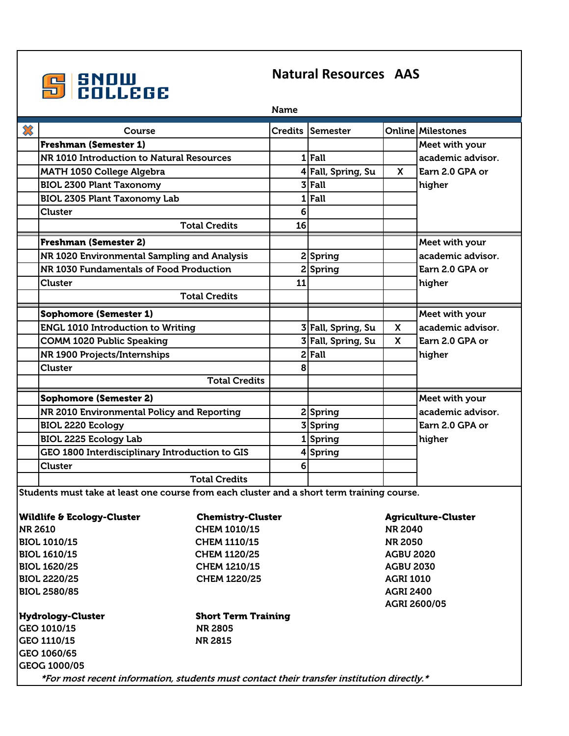

## **Natural Resources AAS**

| Name                                                                                            |                                                |                      |                |                    |                  |                          |  |  |  |
|-------------------------------------------------------------------------------------------------|------------------------------------------------|----------------------|----------------|--------------------|------------------|--------------------------|--|--|--|
| $\boldsymbol{\mathcal{X}}$                                                                      | Course                                         |                      | <b>Credits</b> | <b>Semester</b>    |                  | <b>Online Milestones</b> |  |  |  |
|                                                                                                 | <b>Freshman (Semester 1)</b>                   |                      |                |                    |                  | Meet with your           |  |  |  |
|                                                                                                 | NR 1010 Introduction to Natural Resources      |                      |                | $1$ Fall           |                  | academic advisor.        |  |  |  |
|                                                                                                 | <b>MATH 1050 College Algebra</b>               |                      |                | 4 Fall, Spring, Su | <b>X</b>         | Earn 2.0 GPA or          |  |  |  |
|                                                                                                 | <b>BIOL 2300 Plant Taxonomy</b>                |                      |                | $3$ Fall           |                  | higher                   |  |  |  |
|                                                                                                 | <b>BIOL 2305 Plant Taxonomy Lab</b>            |                      |                | $1$ Fall           |                  |                          |  |  |  |
|                                                                                                 | Cluster                                        |                      | 6              |                    |                  |                          |  |  |  |
|                                                                                                 | <b>Total Credits</b>                           |                      | 16             |                    |                  |                          |  |  |  |
|                                                                                                 | <b>Freshman (Semester 2)</b>                   |                      |                |                    |                  | Meet with your           |  |  |  |
|                                                                                                 | NR 1020 Environmental Sampling and Analysis    |                      |                | 2 Spring           |                  | academic advisor.        |  |  |  |
|                                                                                                 | NR 1030 Fundamentals of Food Production        |                      |                | 2 Spring           |                  | Earn 2.0 GPA or          |  |  |  |
|                                                                                                 | <b>Cluster</b>                                 |                      | 11             |                    |                  | higher                   |  |  |  |
|                                                                                                 | <b>Total Credits</b>                           |                      |                |                    |                  |                          |  |  |  |
|                                                                                                 | <b>Sophomore (Semester 1)</b>                  |                      |                |                    |                  | Meet with your           |  |  |  |
|                                                                                                 | <b>ENGL 1010 Introduction to Writing</b>       |                      |                | 3 Fall, Spring, Su | X                | academic advisor.        |  |  |  |
|                                                                                                 | <b>COMM 1020 Public Speaking</b>               |                      |                | 3 Fall, Spring, Su | X                | Earn 2.0 GPA or          |  |  |  |
|                                                                                                 | NR 1900 Projects/Internships                   |                      |                | $2$ Fall           |                  | higher                   |  |  |  |
|                                                                                                 | <b>Cluster</b>                                 |                      | 8              |                    |                  |                          |  |  |  |
|                                                                                                 |                                                | <b>Total Credits</b> |                |                    |                  |                          |  |  |  |
|                                                                                                 | <b>Sophomore (Semester 2)</b>                  |                      |                |                    |                  | Meet with your           |  |  |  |
|                                                                                                 | NR 2010 Environmental Policy and Reporting     |                      |                | 2 Spring           |                  | academic advisor.        |  |  |  |
|                                                                                                 | <b>BIOL 2220 Ecology</b>                       |                      |                | 3 Spring           |                  | Earn 2.0 GPA or          |  |  |  |
|                                                                                                 | <b>BIOL 2225 Ecology Lab</b>                   |                      |                | 1Spring            |                  | higher                   |  |  |  |
|                                                                                                 | GEO 1800 Interdisciplinary Introduction to GIS |                      |                | 4 Spring           |                  |                          |  |  |  |
|                                                                                                 | Cluster                                        |                      | 6              |                    |                  |                          |  |  |  |
|                                                                                                 |                                                | <b>Total Credits</b> |                |                    |                  |                          |  |  |  |
| Students must take at least one course from each cluster and a short term training course.      |                                                |                      |                |                    |                  |                          |  |  |  |
| <b>Wildlife &amp; Ecology-Cluster</b><br><b>Chemistry-Cluster</b><br><b>Agriculture-Cluster</b> |                                                |                      |                |                    |                  |                          |  |  |  |
| <b>NR 2610</b><br><b>CHEM 1010/15</b>                                                           |                                                |                      |                | <b>NR 2040</b>     |                  |                          |  |  |  |
| <b>BIOL 1010/15</b><br><b>CHEM 1110/15</b>                                                      |                                                |                      |                | <b>NR 2050</b>     |                  |                          |  |  |  |
|                                                                                                 | <b>BIOL 1610/15</b><br><b>CHEM 1120/25</b>     |                      |                |                    | <b>AGBU 2020</b> |                          |  |  |  |
|                                                                                                 | <b>BIOL 1620/25</b><br>CHEM 1210/15            |                      |                |                    | <b>AGBU 2030</b> |                          |  |  |  |
| <b>BIOL 2220/25</b><br><b>CHEM 1220/25</b>                                                      |                                                |                      |                | <b>AGRI 1010</b>   |                  |                          |  |  |  |
| <b>BIOL 2580/85</b>                                                                             |                                                |                      |                | <b>AGRI 2400</b>   |                  |                          |  |  |  |
|                                                                                                 |                                                |                      |                |                    | ACDI 2600/05     |                          |  |  |  |

|                     | AGRI 2600/05               |  |  |
|---------------------|----------------------------|--|--|
| Hydrology-Cluster   | <b>Short Term Training</b> |  |  |
| <b>GEO 1010/15</b>  | <b>NR 2805</b>             |  |  |
| <b>GEO 1110/15</b>  | <b>NR 2815</b>             |  |  |
| GEO 1060/65         |                            |  |  |
| <b>GEOG 1000/05</b> |                            |  |  |
|                     |                            |  |  |

\*For most recent information, students must contact their transfer institution directly.\*